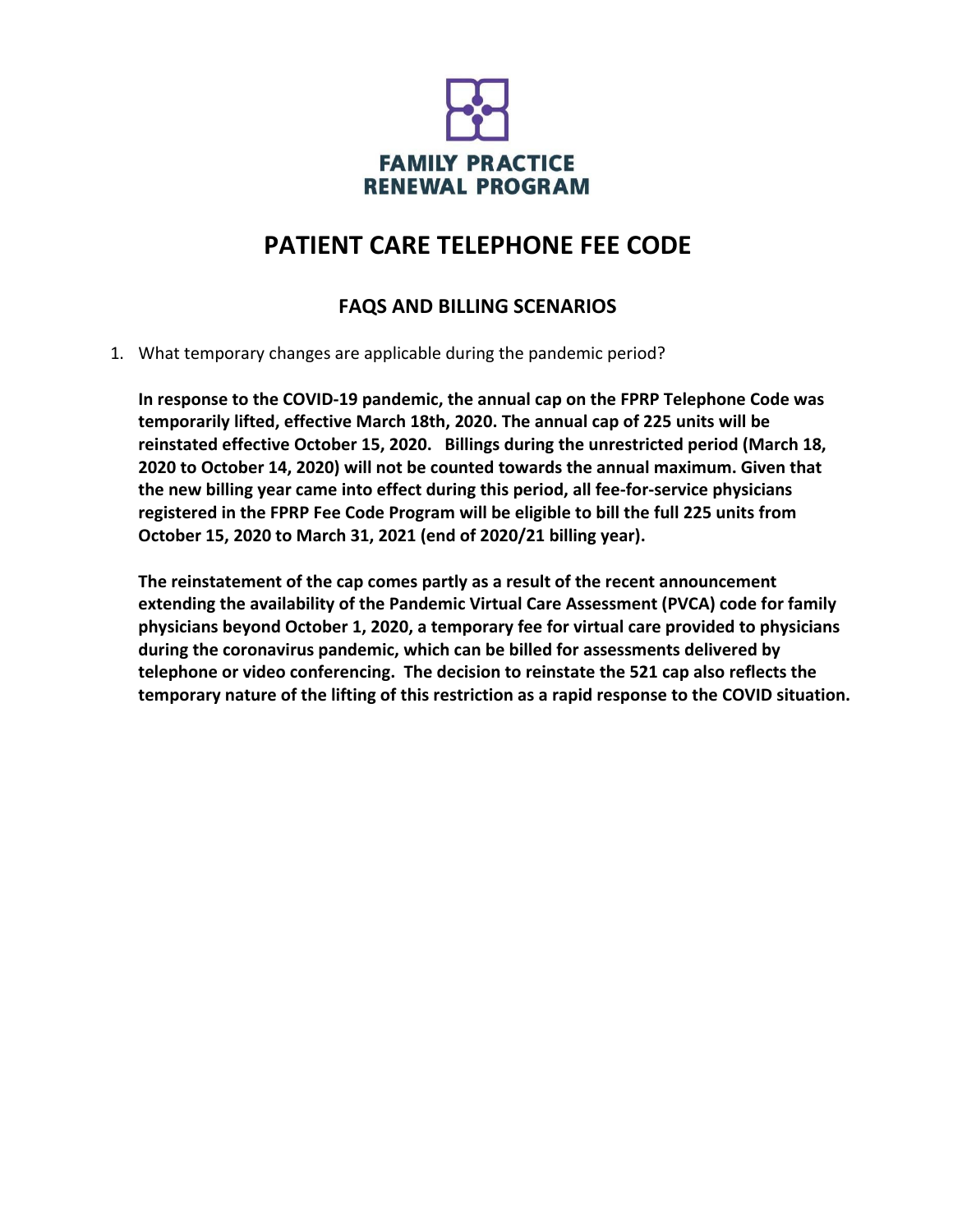

# **PATIENT CARE TELEPHONE FEE CODE**

### **FAQS AND BILLING SCENARIOS**

1. What temporary changes are applicable during the pandemic period?

**In response to the COVID-19 pandemic, the annual cap on the FPRP Telephone Code was temporarily lifted, effective March 18th, 2020. The annual cap of 225 units will be reinstated effective October 15, 2020. Billings during the unrestricted period (March 18, 2020 to October 14, 2020) will not be counted towards the annual maximum. Given that the new billing year came into effect during this period, all fee-for-service physicians registered in the FPRP Fee Code Program will be eligible to bill the full 225 units from October 15, 2020 to March 31, 2021 (end of 2020/21 billing year).**

**The reinstatement of the cap comes partly as a result of the recent announcement extending the availability of the Pandemic Virtual Care Assessment (PVCA) code for family physicians beyond October 1, 2020, a temporary fee for virtual care provided to physicians during the coronavirus pandemic, which can be billed for assessments delivered by telephone or video conferencing. The decision to reinstate the 521 cap also reflects the temporary nature of the lifting of this restriction as a rapid response to the COVID situation.**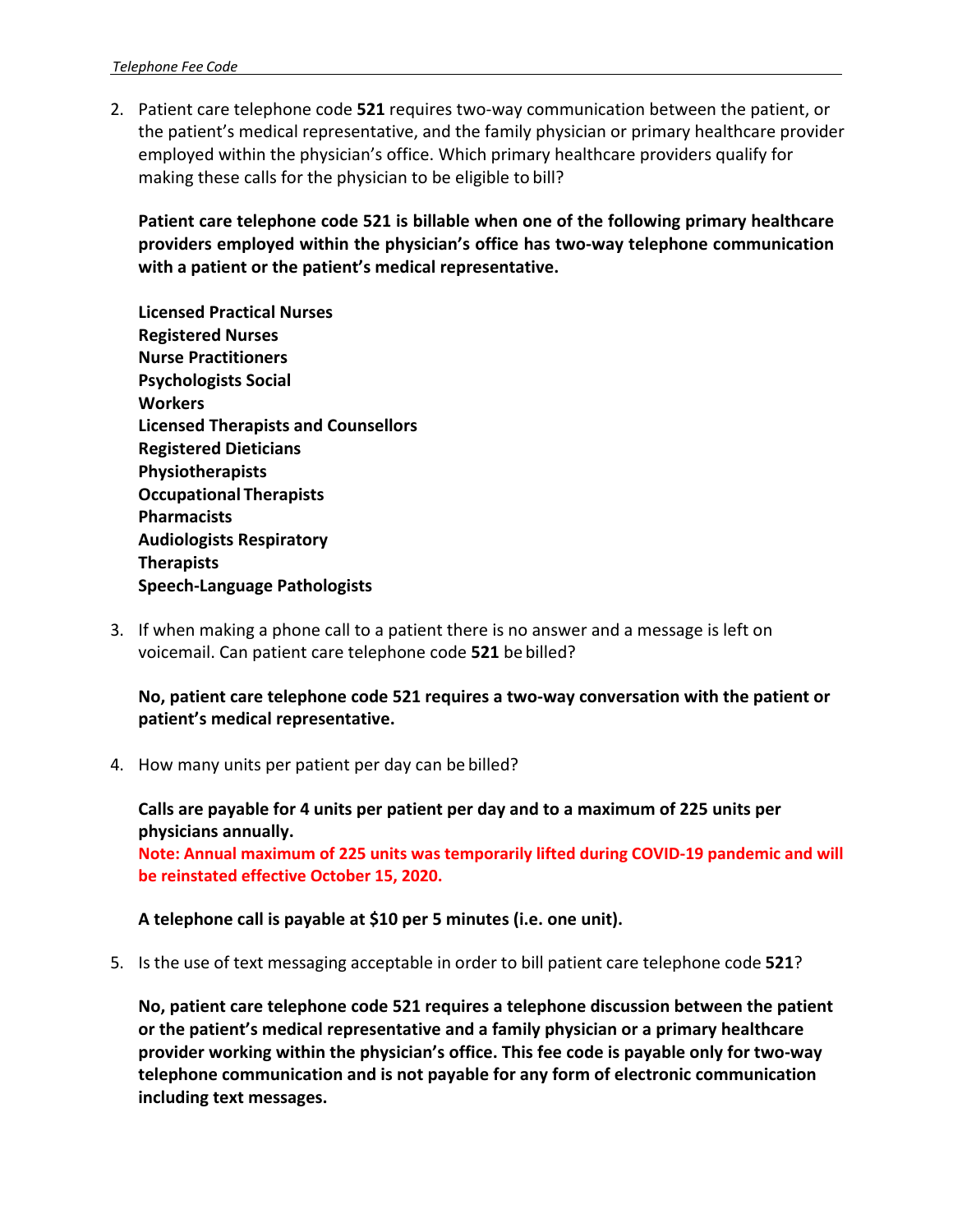2. Patient care telephone code **521** requires two‐way communication between the patient, or the patient's medical representative, and the family physician or primary healthcare provider employed within the physician's office. Which primary healthcare providers qualify for making these calls for the physician to be eligible to bill?

**Patient care telephone code 521 is billable when one of the following primary healthcare providers employed within the physician's office has two-way telephone communication with a patient or the patient's medical representative.**

- **Licensed Practical Nurses Registered Nurses Nurse Practitioners Psychologists Social Workers Licensed Therapists and Counsellors Registered Dieticians Physiotherapists Occupational Therapists Pharmacists Audiologists Respiratory Therapists Speech-Language Pathologists**
- 3. If when making a phone call to a patient there is no answer and a message is left on voicemail. Can patient care telephone code **521** be billed?

#### **No, patient care telephone code 521 requires a two-way conversation with the patient or patient's medical representative.**

4. How many units per patient per day can be billed?

**Calls are payable for 4 units per patient per day and to a maximum of 225 units per physicians annually. Note: Annual maximum of 225 units was temporarily lifted during COVID-19 pandemic and will be reinstated effective October 15, 2020.**

#### **A telephone call is payable at \$10 per 5 minutes (i.e. one unit).**

5. Is the use of text messaging acceptable in order to bill patient care telephone code **521**?

**No, patient care telephone code 521 requires a telephone discussion between the patient or the patient's medical representative and a family physician or a primary healthcare provider working within the physician's office. This fee code is payable only for two-way telephone communication and is not payable for any form of electronic communication including text messages.**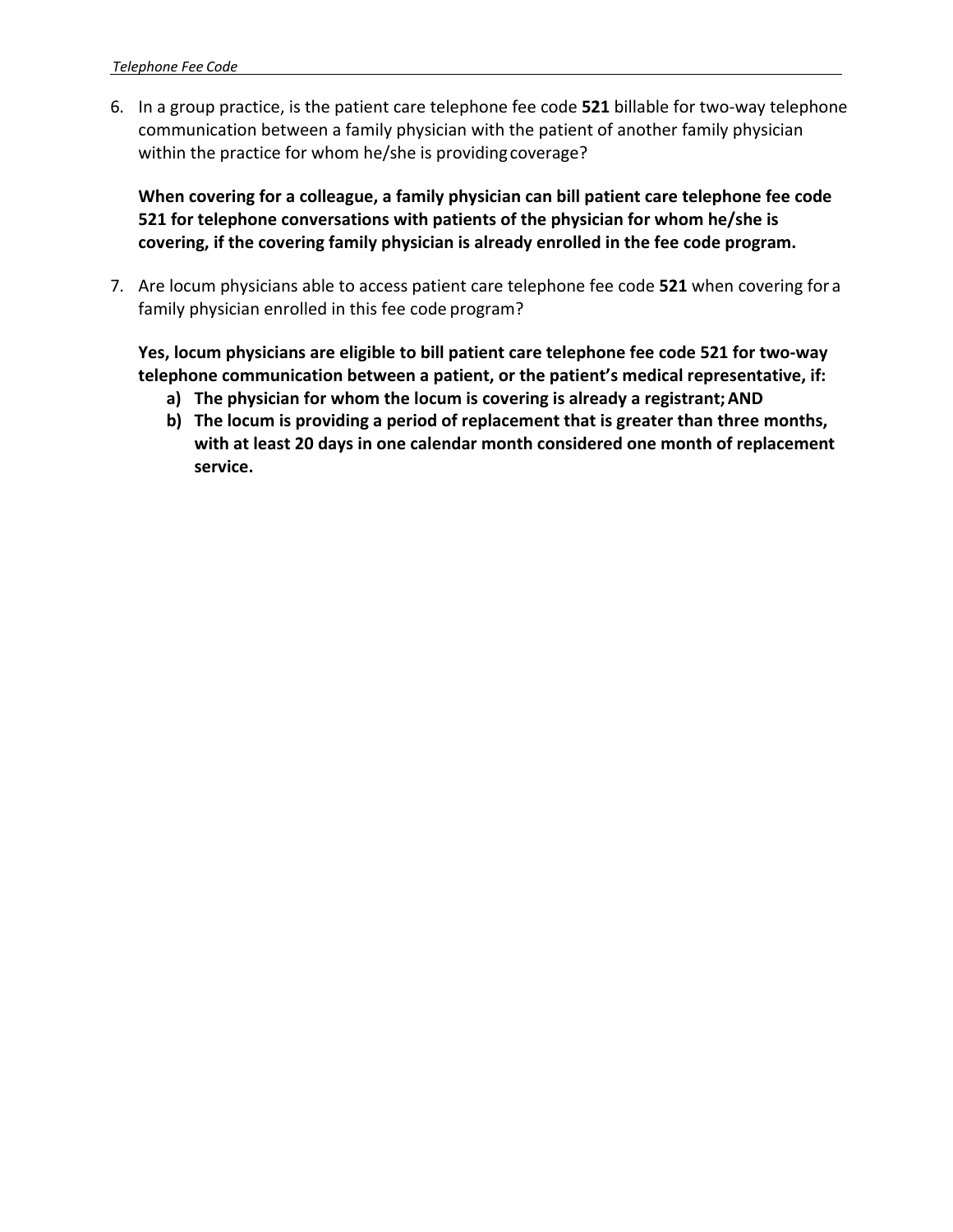6. In a group practice, is the patient care telephone fee code **521** billable for two‐way telephone communication between a family physician with the patient of another family physician within the practice for whom he/she is providingcoverage?

**When covering for a colleague, a family physician can bill patient care telephone fee code 521 for telephone conversations with patients of the physician for whom he/she is covering, if the covering family physician is already enrolled in the fee code program.**

7. Are locum physicians able to access patient care telephone fee code **521** when covering for a family physician enrolled in this fee code program?

**Yes, locum physicians are eligible to bill patient care telephone fee code 521 for two-way telephone communication between a patient, or the patient's medical representative, if:**

- **a) The physician for whom the locum is covering is already a registrant;AND**
- **b) The locum is providing a period of replacement that is greater than three months, with at least 20 days in one calendar month considered one month of replacement service.**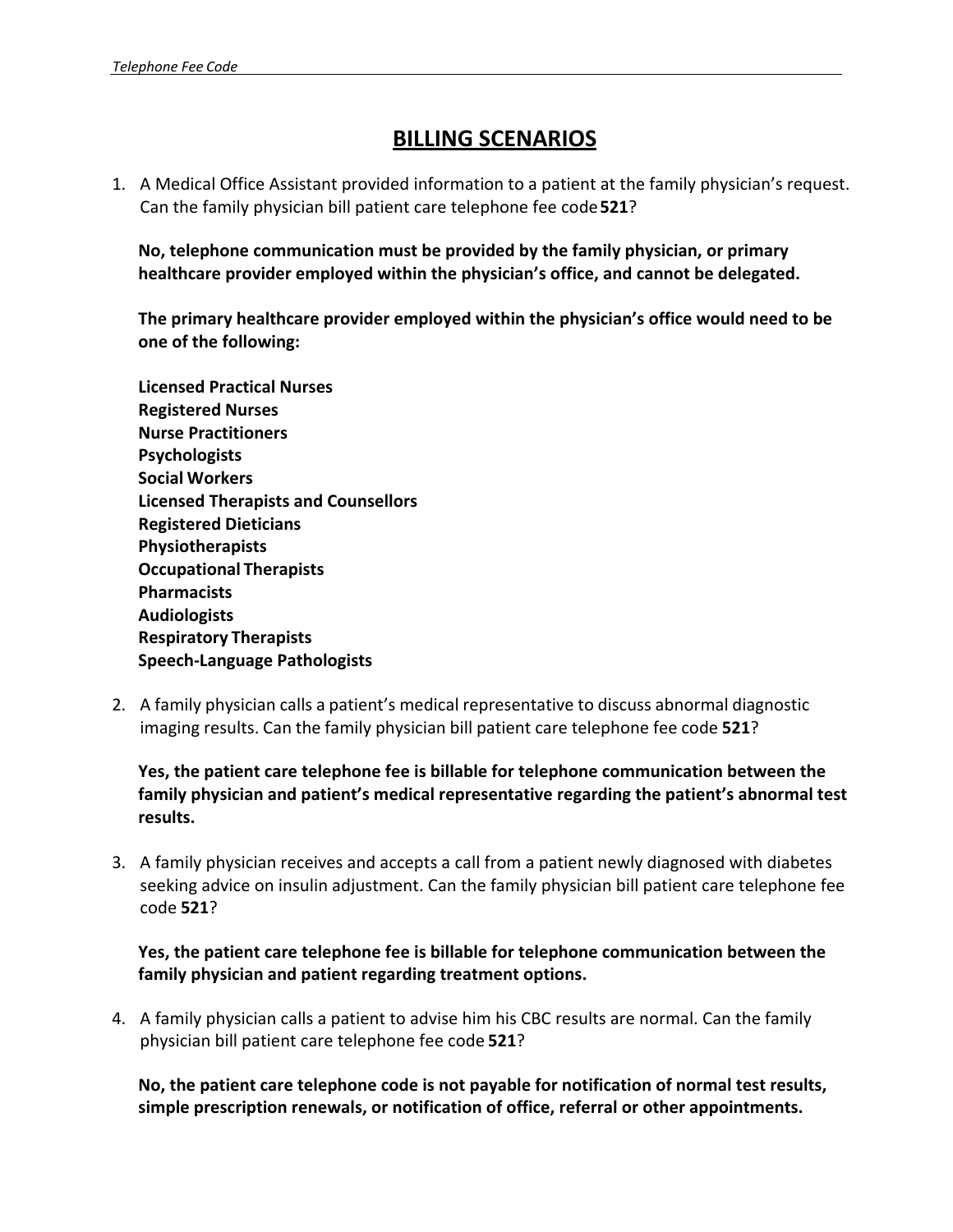## **BILLING SCENARIOS**

1. A Medical Office Assistant provided information to a patient at the family physician's request. Can the family physician bill patient care telephone fee code**521**?

**No, telephone communication must be provided by the family physician, or primary healthcare provider employed within the physician's office, and cannot be delegated.**

**The primary healthcare provider employed within the physician's office would need to be one of the following:**

- **Licensed Practical Nurses Registered Nurses Nurse Practitioners Psychologists Social Workers Licensed Therapists and Counsellors Registered Dieticians Physiotherapists Occupational Therapists Pharmacists Audiologists Respiratory Therapists Speech-Language Pathologists**
- 2. A family physician calls a patient's medical representative to discuss abnormal diagnostic imaging results. Can the family physician bill patient care telephone fee code **521**?

**Yes, the patient care telephone fee is billable for telephone communication between the family physician and patient's medical representative regarding the patient's abnormal test results.**

3. A family physician receives and accepts a call from a patient newly diagnosed with diabetes seeking advice on insulin adjustment. Can the family physician bill patient care telephone fee code **521**?

**Yes, the patient care telephone fee is billable for telephone communication between the family physician and patient regarding treatment options.**

4. A family physician calls a patient to advise him his CBC results are normal. Can the family physician bill patient care telephone fee code **521**?

**No, the patient care telephone code is not payable for notification of normal test results, simple prescription renewals, or notification of office, referral or other appointments.**